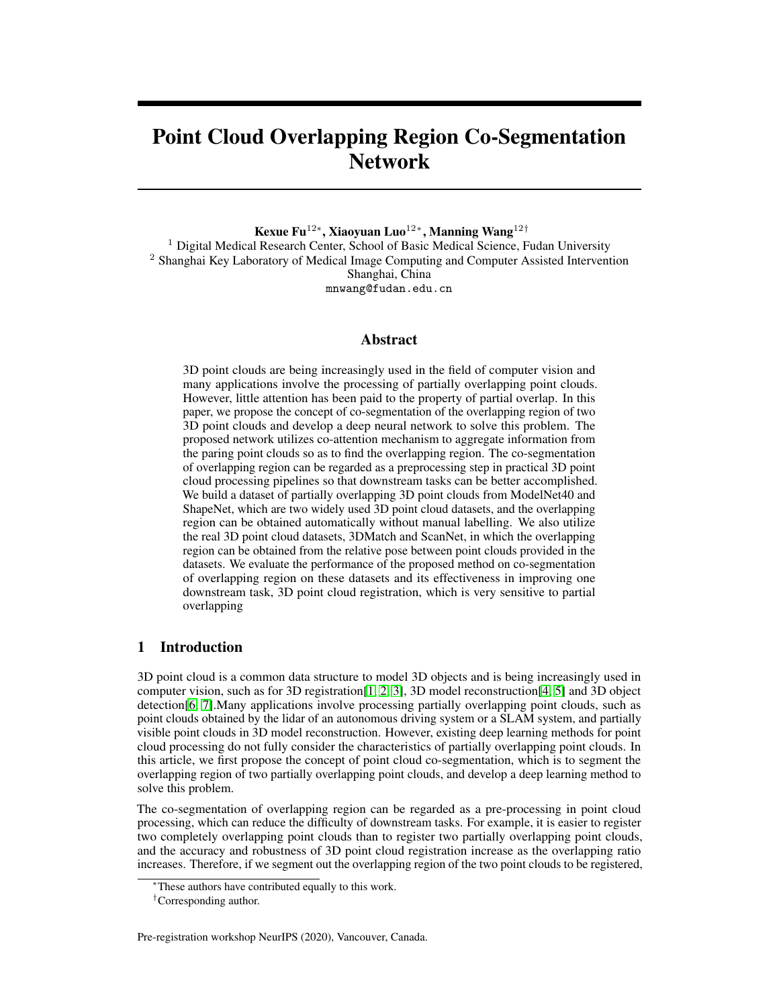# Point Cloud Overlapping Region Co-Segmentation Network

Kexue Fu $^{12*}$ , Xiaoyuan Luo $^{12*}$ , Manning Wang $^{12\dagger}$ 

<sup>1</sup> Digital Medical Research Center, School of Basic Medical Science, Fudan University <sup>2</sup> Shanghai Key Laboratory of Medical Image Computing and Computer Assisted Intervention Shanghai, China mnwang@fudan.edu.cn

## Abstract

3D point clouds are being increasingly used in the field of computer vision and many applications involve the processing of partially overlapping point clouds. However, little attention has been paid to the property of partial overlap. In this paper, we propose the concept of co-segmentation of the overlapping region of two 3D point clouds and develop a deep neural network to solve this problem. The proposed network utilizes co-attention mechanism to aggregate information from the paring point clouds so as to find the overlapping region. The co-segmentation of overlapping region can be regarded as a preprocessing step in practical 3D point cloud processing pipelines so that downstream tasks can be better accomplished. We build a dataset of partially overlapping 3D point clouds from ModelNet40 and ShapeNet, which are two widely used 3D point cloud datasets, and the overlapping region can be obtained automatically without manual labelling. We also utilize the real 3D point cloud datasets, 3DMatch and ScanNet, in which the overlapping region can be obtained from the relative pose between point clouds provided in the datasets. We evaluate the performance of the proposed method on co-segmentation of overlapping region on these datasets and its effectiveness in improving one downstream task, 3D point cloud registration, which is very sensitive to partial overlapping

# 1 Introduction

3D point cloud is a common data structure to model 3D objects and is being increasingly used in computer vision, such as for 3D registration[\[1,](#page-5-0) [2,](#page-5-1) [3\]](#page-5-2), 3D model reconstruction[\[4,](#page-5-3) [5\]](#page-5-4) and 3D object detection[\[6,](#page-5-5) [7\]](#page-5-6).Many applications involve processing partially overlapping point clouds, such as point clouds obtained by the lidar of an autonomous driving system or a SLAM system, and partially visible point clouds in 3D model reconstruction. However, existing deep learning methods for point cloud processing do not fully consider the characteristics of partially overlapping point clouds. In this article, we first propose the concept of point cloud co-segmentation, which is to segment the overlapping region of two partially overlapping point clouds, and develop a deep learning method to solve this problem.

The co-segmentation of overlapping region can be regarded as a pre-processing in point cloud processing, which can reduce the difficulty of downstream tasks. For example, it is easier to register two completely overlapping point clouds than to register two partially overlapping point clouds, and the accuracy and robustness of 3D point cloud registration increase as the overlapping ratio increases. Therefore, if we segment out the overlapping region of the two point clouds to be registered,

Pre-registration workshop NeurIPS (2020), Vancouver, Canada.

<sup>∗</sup>These authors have contributed equally to this work.

<sup>†</sup>Corresponding author.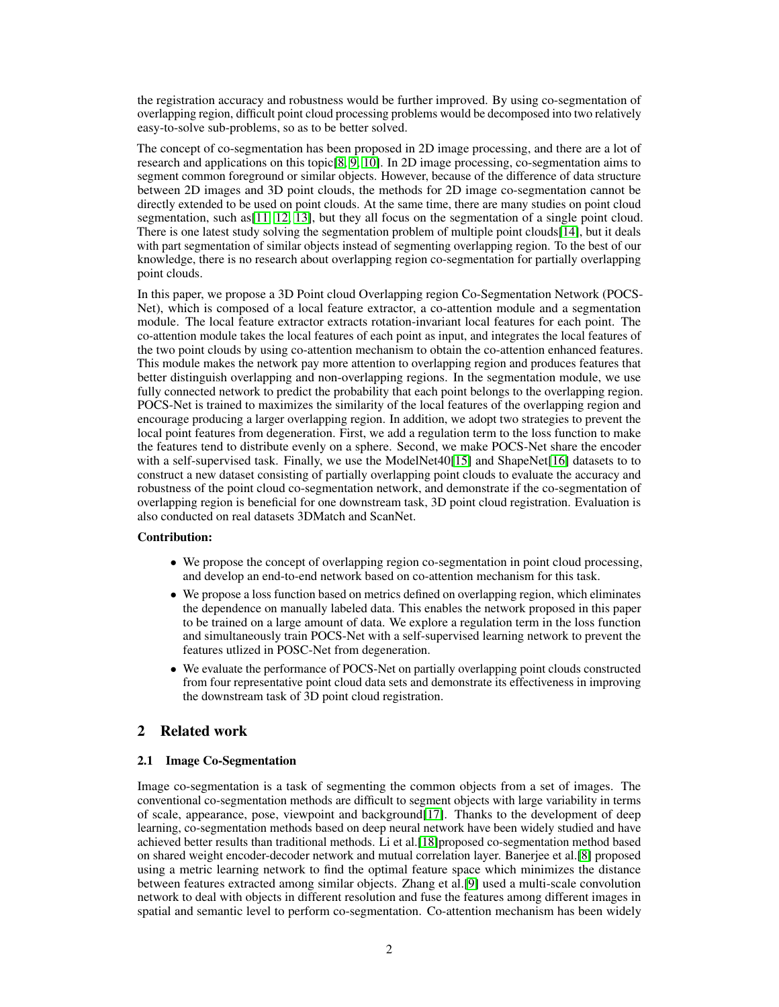the registration accuracy and robustness would be further improved. By using co-segmentation of overlapping region, difficult point cloud processing problems would be decomposed into two relatively easy-to-solve sub-problems, so as to be better solved.

The concept of co-segmentation has been proposed in 2D image processing, and there are a lot of research and applications on this topic[\[8,](#page-5-7) [9,](#page-6-0) [10\]](#page-6-1). In 2D image processing, co-segmentation aims to segment common foreground or similar objects. However, because of the difference of data structure between 2D images and 3D point clouds, the methods for 2D image co-segmentation cannot be directly extended to be used on point clouds. At the same time, there are many studies on point cloud segmentation, such as  $[11, 12, 13]$  $[11, 12, 13]$  $[11, 12, 13]$  $[11, 12, 13]$  $[11, 12, 13]$ , but they all focus on the segmentation of a single point cloud. There is one latest study solving the segmentation problem of multiple point clouds[\[14\]](#page-6-5), but it deals with part segmentation of similar objects instead of segmenting overlapping region. To the best of our knowledge, there is no research about overlapping region co-segmentation for partially overlapping point clouds.

In this paper, we propose a 3D Point cloud Overlapping region Co-Segmentation Network (POCS-Net), which is composed of a local feature extractor, a co-attention module and a segmentation module. The local feature extractor extracts rotation-invariant local features for each point. The co-attention module takes the local features of each point as input, and integrates the local features of the two point clouds by using co-attention mechanism to obtain the co-attention enhanced features. This module makes the network pay more attention to overlapping region and produces features that better distinguish overlapping and non-overlapping regions. In the segmentation module, we use fully connected network to predict the probability that each point belongs to the overlapping region. POCS-Net is trained to maximizes the similarity of the local features of the overlapping region and encourage producing a larger overlapping region. In addition, we adopt two strategies to prevent the local point features from degeneration. First, we add a regulation term to the loss function to make the features tend to distribute evenly on a sphere. Second, we make POCS-Net share the encoder with a self-supervised task. Finally, we use the ModelNet40[\[15\]](#page-6-6) and ShapeNet[\[16\]](#page-6-7) datasets to to construct a new dataset consisting of partially overlapping point clouds to evaluate the accuracy and robustness of the point cloud co-segmentation network, and demonstrate if the co-segmentation of overlapping region is beneficial for one downstream task, 3D point cloud registration. Evaluation is also conducted on real datasets 3DMatch and ScanNet.

# Contribution:

- We propose the concept of overlapping region co-segmentation in point cloud processing, and develop an end-to-end network based on co-attention mechanism for this task.
- We propose a loss function based on metrics defined on overlapping region, which eliminates the dependence on manually labeled data. This enables the network proposed in this paper to be trained on a large amount of data. We explore a regulation term in the loss function and simultaneously train POCS-Net with a self-supervised learning network to prevent the features utlized in POSC-Net from degeneration.
- We evaluate the performance of POCS-Net on partially overlapping point clouds constructed from four representative point cloud data sets and demonstrate its effectiveness in improving the downstream task of 3D point cloud registration.

# 2 Related work

## 2.1 Image Co-Segmentation

Image co-segmentation is a task of segmenting the common objects from a set of images. The conventional co-segmentation methods are difficult to segment objects with large variability in terms of scale, appearance, pose, viewpoint and background[\[17\]](#page-6-8). Thanks to the development of deep learning, co-segmentation methods based on deep neural network have been widely studied and have achieved better results than traditional methods. Li et al.[\[18\]](#page-6-9)proposed co-segmentation method based on shared weight encoder-decoder network and mutual correlation layer. Banerjee et al.[\[8\]](#page-5-7) proposed using a metric learning network to find the optimal feature space which minimizes the distance between features extracted among similar objects. Zhang et al.[\[9\]](#page-6-0) used a multi-scale convolution network to deal with objects in different resolution and fuse the features among different images in spatial and semantic level to perform co-segmentation. Co-attention mechanism has been widely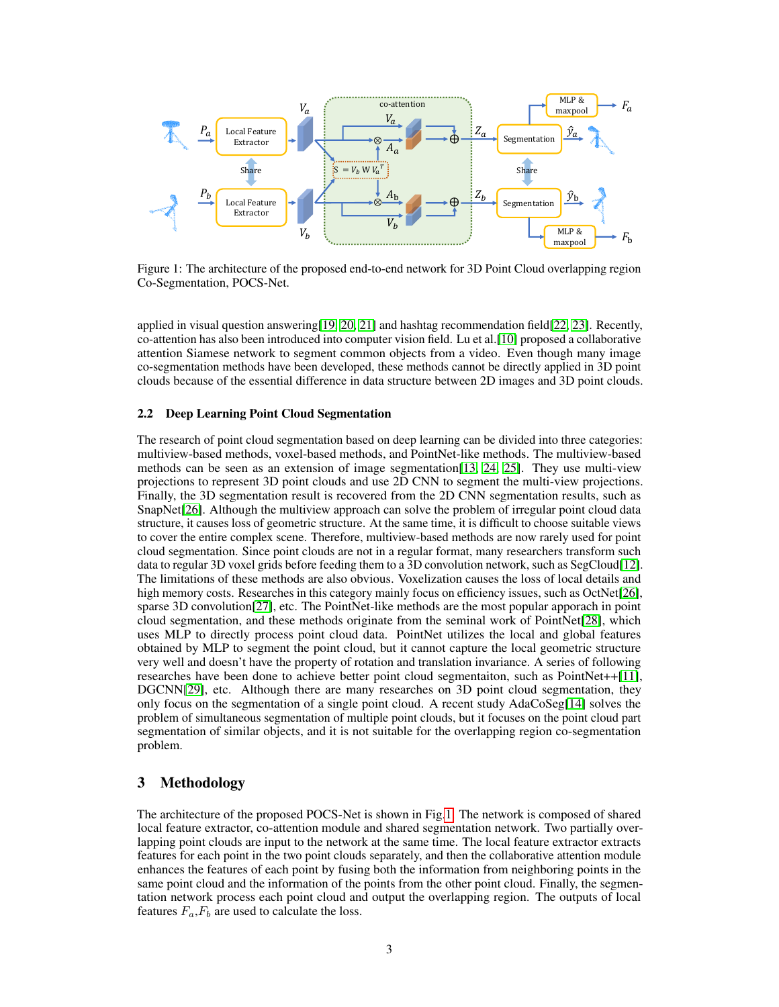

<span id="page-2-0"></span>Figure 1: The architecture of the proposed end-to-end network for 3D Point Cloud overlapping region Co-Segmentation, POCS-Net.

applied in visual question answering[\[19,](#page-6-10) [20,](#page-6-11) [21\]](#page-6-12) and hashtag recommendation field[\[22,](#page-6-13) [23\]](#page-6-14). Recently, co-attention has also been introduced into computer vision field. Lu et al.[\[10\]](#page-6-1) proposed a collaborative attention Siamese network to segment common objects from a video. Even though many image co-segmentation methods have been developed, these methods cannot be directly applied in 3D point clouds because of the essential difference in data structure between 2D images and 3D point clouds.

### 2.2 Deep Learning Point Cloud Segmentation

The research of point cloud segmentation based on deep learning can be divided into three categories: multiview-based methods, voxel-based methods, and PointNet-like methods. The multiview-based methods can be seen as an extension of image segmentation[\[13,](#page-6-4) [24,](#page-6-15) [25\]](#page-6-16). They use multi-view projections to represent 3D point clouds and use 2D CNN to segment the multi-view projections. Finally, the 3D segmentation result is recovered from the 2D CNN segmentation results, such as SnapNet[\[26\]](#page-6-17). Although the multiview approach can solve the problem of irregular point cloud data structure, it causes loss of geometric structure. At the same time, it is difficult to choose suitable views to cover the entire complex scene. Therefore, multiview-based methods are now rarely used for point cloud segmentation. Since point clouds are not in a regular format, many researchers transform such data to regular 3D voxel grids before feeding them to a 3D convolution network, such as SegCloud[\[12\]](#page-6-3). The limitations of these methods are also obvious. Voxelization causes the loss of local details and high memory costs. Researches in this category mainly focus on efficiency issues, such as OctNet[\[26\]](#page-6-17), sparse 3D convolution[\[27\]](#page-6-18), etc. The PointNet-like methods are the most popular apporach in point cloud segmentation, and these methods originate from the seminal work of PointNet[\[28\]](#page-7-0), which uses MLP to directly process point cloud data. PointNet utilizes the local and global features obtained by MLP to segment the point cloud, but it cannot capture the local geometric structure very well and doesn't have the property of rotation and translation invariance. A series of following researches have been done to achieve better point cloud segmentaiton, such as PointNet++[\[11\]](#page-6-2), DGCNN[\[29\]](#page-7-1), etc. Although there are many researches on 3D point cloud segmentation, they only focus on the segmentation of a single point cloud. A recent study AdaCoSeg[\[14\]](#page-6-5) solves the problem of simultaneous segmentation of multiple point clouds, but it focuses on the point cloud part segmentation of similar objects, and it is not suitable for the overlapping region co-segmentation problem.

# 3 Methodology

The architecture of the proposed POCS-Net is shown in Fig[.1.](#page-2-0) The network is composed of shared local feature extractor, co-attention module and shared segmentation network. Two partially overlapping point clouds are input to the network at the same time. The local feature extractor extracts features for each point in the two point clouds separately, and then the collaborative attention module enhances the features of each point by fusing both the information from neighboring points in the same point cloud and the information of the points from the other point cloud. Finally, the segmentation network process each point cloud and output the overlapping region. The outputs of local features  $F_a$ ,  $F_b$  are used to calculate the loss.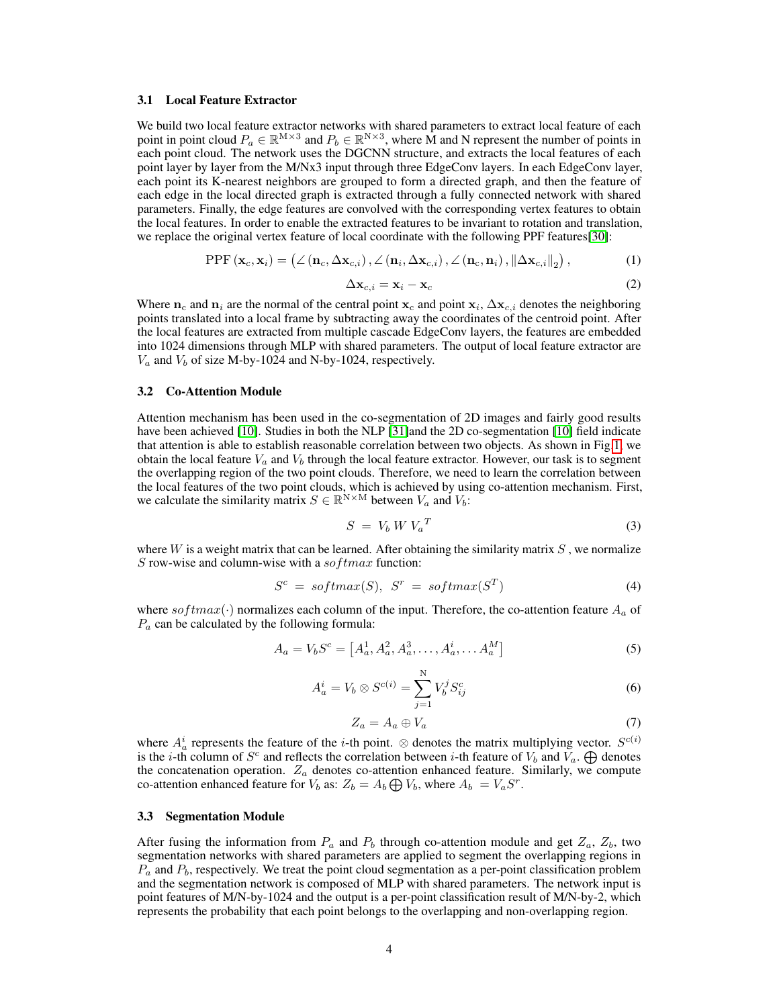#### 3.1 Local Feature Extractor

We build two local feature extractor networks with shared parameters to extract local feature of each point in point cloud  $P_a \in \mathbb{R}^{M \times 3}$  and  $P_b \in \mathbb{R}^{N \times 3}$ , where M and N represent the number of points in each point cloud. The network uses the DGCNN structure, and extracts the local features of each point layer by layer from the M/Nx3 input through three EdgeConv layers. In each EdgeConv layer, each point its K-nearest neighbors are grouped to form a directed graph, and then the feature of each edge in the local directed graph is extracted through a fully connected network with shared parameters. Finally, the edge features are convolved with the corresponding vertex features to obtain the local features. In order to enable the extracted features to be invariant to rotation and translation, we replace the original vertex feature of local coordinate with the following PPF features[\[30\]](#page-7-2):

$$
PPF\left(\mathbf{x}_{c}, \mathbf{x}_{i}\right) = \left(\angle\left(\mathbf{n}_{c}, \Delta\mathbf{x}_{c,i}\right), \angle\left(\mathbf{n}_{i}, \Delta\mathbf{x}_{c,i}\right), \angle\left(\mathbf{n}_{c}, \mathbf{n}_{i}\right), \|\Delta\mathbf{x}_{c,i}\|_{2}\right),\tag{1}
$$

$$
\Delta \mathbf{x}_{c,i} = \mathbf{x}_i - \mathbf{x}_c \tag{2}
$$

Where  $n_c$  and  $n_i$  are the normal of the central point  $x_c$  and point  $x_i$ ,  $\Delta x_{c,i}$  denotes the neighboring points translated into a local frame by subtracting away the coordinates of the centroid point. After the local features are extracted from multiple cascade EdgeConv layers, the features are embedded into 1024 dimensions through MLP with shared parameters. The output of local feature extractor are  $V_a$  and  $V_b$  of size M-by-1024 and N-by-1024, respectively.

#### 3.2 Co-Attention Module

Attention mechanism has been used in the co-segmentation of 2D images and fairly good results have been achieved [\[10\]](#page-6-1). Studies in both the NLP [\[31\]](#page-7-3)and the 2D co-segmentation [10] field indicate that attention is able to establish reasonable correlation between two objects. As shown in Fig[.1,](#page-2-0) we obtain the local feature  $V_a$  and  $V_b$  through the local feature extractor. However, our task is to segment the overlapping region of the two point clouds. Therefore, we need to learn the correlation between the local features of the two point clouds, which is achieved by using co-attention mechanism. First, we calculate the similarity matrix  $S \in \mathbb{R}^{N \times M}$  between  $V_a$  and  $V_b$ :

$$
S = V_b W V_a^T \tag{3}
$$

where  $W$  is a weight matrix that can be learned. After obtaining the similarity matrix  $S$ , we normalize S row-wise and column-wise with a  $softmax$  function:

$$
Sc = softmax(S), Sr = softmax(ST)
$$
\n(4)

where  $softmax(\cdot)$  normalizes each column of the input. Therefore, the co-attention feature  $A_a$  of  $P_a$  can be calculated by the following formula:

$$
A_a = V_b S^c = [A_a^1, A_a^2, A_a^3, \dots, A_a^i, \dots, A_a^M]
$$
 (5)

$$
A_a^i = V_b \otimes S^{c(i)} = \sum_{j=1}^N V_b^j S_{ij}^c
$$
 (6)

$$
Z_a = A_a \oplus V_a \tag{7}
$$

where  $A_a^i$  represents the feature of the *i*-th point. ⊗ denotes the matrix multiplying vector.  $S^{c(i)}$ is the *i*-th column of  $S^c$  and reflects the correlation between *i*-th feature of  $V_b$  and  $\bar{V}_a$ .  $\bigoplus$  denotes the concatenation operation.  $Z_a$  denotes co-attention enhanced feature. Similarly, we compute co-attention enhanced feature for  $V_b$  as:  $Z_b = A_b \bigoplus V_b$ , where  $A_b = V_a S^r$ .

#### 3.3 Segmentation Module

After fusing the information from  $P_a$  and  $P_b$  through co-attention module and get  $Z_a$ ,  $Z_b$ , two segmentation networks with shared parameters are applied to segment the overlapping regions in  $P_a$  and  $P_b$ , respectively. We treat the point cloud segmentation as a per-point classification problem and the segmentation network is composed of MLP with shared parameters. The network input is point features of M/N-by-1024 and the output is a per-point classification result of M/N-by-2, which represents the probability that each point belongs to the overlapping and non-overlapping region.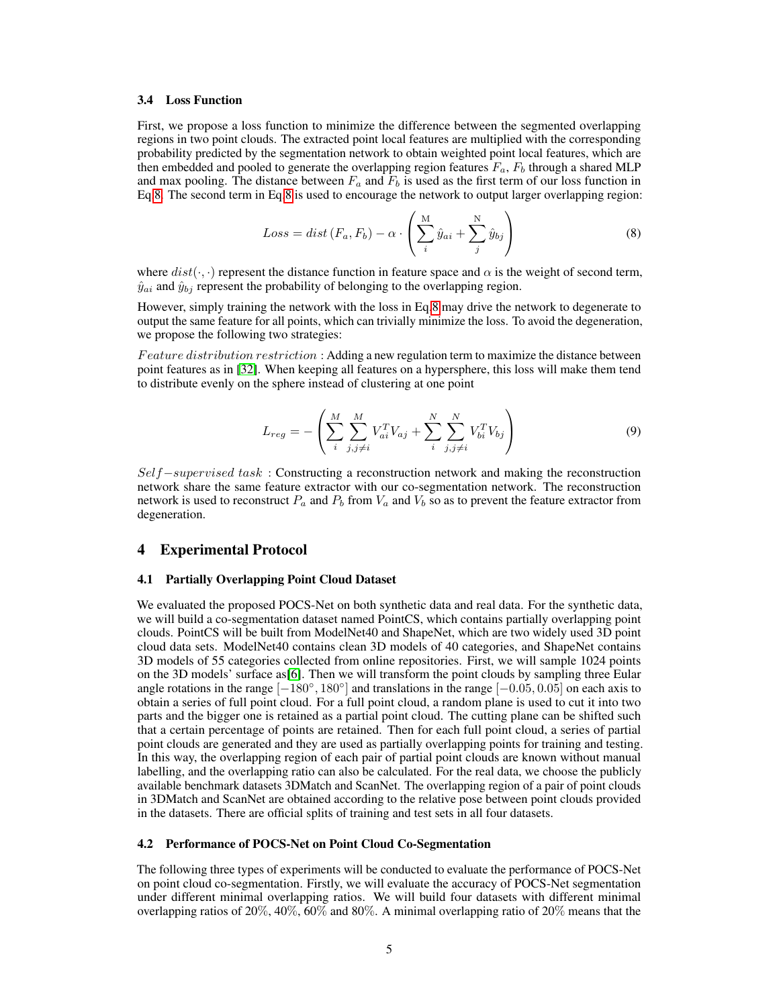#### 3.4 Loss Function

First, we propose a loss function to minimize the difference between the segmented overlapping regions in two point clouds. The extracted point local features are multiplied with the corresponding probability predicted by the segmentation network to obtain weighted point local features, which are then embedded and pooled to generate the overlapping region features  $F_a$ ,  $F_b$  through a shared MLP and max pooling. The distance between  $F_a$  and  $F_b$  is used as the first term of our loss function in Eq[.8.](#page-4-0) The second term in Eq[.8](#page-4-0) is used to encourage the network to output larger overlapping region:

<span id="page-4-0"></span>
$$
Loss = dist(F_a, F_b) - \alpha \cdot \left(\sum_{i}^{M} \hat{y}_{ai} + \sum_{j}^{N} \hat{y}_{bj}\right)
$$
 (8)

where  $dist(\cdot, \cdot)$  represent the distance function in feature space and  $\alpha$  is the weight of second term,  $\hat{y}_{ai}$  and  $\hat{y}_{bi}$  represent the probability of belonging to the overlapping region.

However, simply training the network with the loss in Eq[.8](#page-4-0) may drive the network to degenerate to output the same feature for all points, which can trivially minimize the loss. To avoid the degeneration, we propose the following two strategies:

Feature distribution restriction : Adding a new regulation term to maximize the distance between point features as in [\[32\]](#page-7-4). When keeping all features on a hypersphere, this loss will make them tend to distribute evenly on the sphere instead of clustering at one point

$$
L_{reg} = -\left(\sum_{i}^{M} \sum_{j,j \neq i}^{M} V_{ai}^{T} V_{aj} + \sum_{i}^{N} \sum_{j,j \neq i}^{N} V_{bi}^{T} V_{bj}\right)
$$
(9)

Self–supervised task : Constructing a reconstruction network and making the reconstruction network share the same feature extractor with our co-segmentation network. The reconstruction network is used to reconstruct  $P_a$  and  $P_b$  from  $V_a$  and  $V_b$  so as to prevent the feature extractor from degeneration.

#### 4 Experimental Protocol

#### 4.1 Partially Overlapping Point Cloud Dataset

We evaluated the proposed POCS-Net on both synthetic data and real data. For the synthetic data, we will build a co-segmentation dataset named PointCS, which contains partially overlapping point clouds. PointCS will be built from ModelNet40 and ShapeNet, which are two widely used 3D point cloud data sets. ModelNet40 contains clean 3D models of 40 categories, and ShapeNet contains 3D models of 55 categories collected from online repositories. First, we will sample 1024 points on the 3D models' surface as[\[6\]](#page-5-5). Then we will transform the point clouds by sampling three Eular angle rotations in the range  $[-180^\circ, 180^\circ]$  and translations in the range  $[-0.05, 0.05]$  on each axis to obtain a series of full point cloud. For a full point cloud, a random plane is used to cut it into two parts and the bigger one is retained as a partial point cloud. The cutting plane can be shifted such that a certain percentage of points are retained. Then for each full point cloud, a series of partial point clouds are generated and they are used as partially overlapping points for training and testing. In this way, the overlapping region of each pair of partial point clouds are known without manual labelling, and the overlapping ratio can also be calculated. For the real data, we choose the publicly available benchmark datasets 3DMatch and ScanNet. The overlapping region of a pair of point clouds in 3DMatch and ScanNet are obtained according to the relative pose between point clouds provided in the datasets. There are official splits of training and test sets in all four datasets.

#### 4.2 Performance of POCS-Net on Point Cloud Co-Segmentation

The following three types of experiments will be conducted to evaluate the performance of POCS-Net on point cloud co-segmentation. Firstly, we will evaluate the accuracy of POCS-Net segmentation under different minimal overlapping ratios. We will build four datasets with different minimal overlapping ratios of 20%, 40%,  $\overline{60\%}$  and 80%. A minimal overlapping ratio of 20% means that the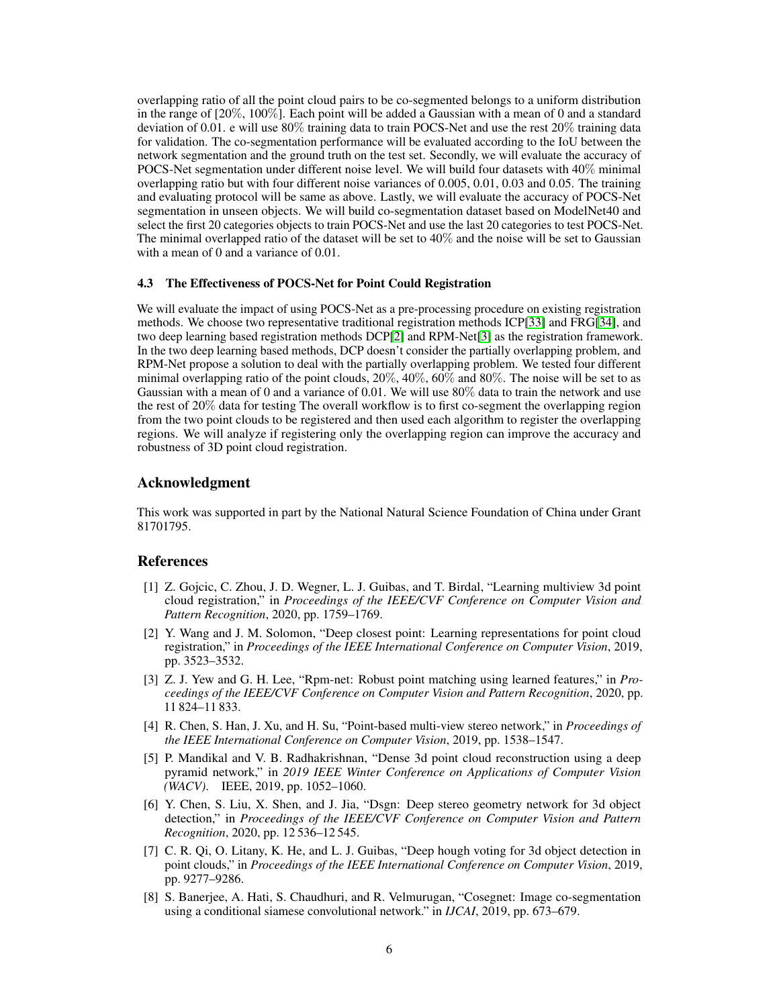overlapping ratio of all the point cloud pairs to be co-segmented belongs to a uniform distribution in the range of [20%, 100%]. Each point will be added a Gaussian with a mean of 0 and a standard deviation of 0.01. e will use  $80\%$  training data to train POCS-Net and use the rest  $20\%$  training data for validation. The co-segmentation performance will be evaluated according to the IoU between the network segmentation and the ground truth on the test set. Secondly, we will evaluate the accuracy of POCS-Net segmentation under different noise level. We will build four datasets with 40% minimal overlapping ratio but with four different noise variances of 0.005, 0.01, 0.03 and 0.05. The training and evaluating protocol will be same as above. Lastly, we will evaluate the accuracy of POCS-Net segmentation in unseen objects. We will build co-segmentation dataset based on ModelNet40 and select the first 20 categories objects to train POCS-Net and use the last 20 categories to test POCS-Net. The minimal overlapped ratio of the dataset will be set to 40% and the noise will be set to Gaussian with a mean of 0 and a variance of 0.01.

#### 4.3 The Effectiveness of POCS-Net for Point Could Registration

We will evaluate the impact of using POCS-Net as a pre-processing procedure on existing registration methods. We choose two representative traditional registration methods ICP[\[33\]](#page-7-5) and FRG[\[34\]](#page-7-6), and two deep learning based registration methods DCP[\[2\]](#page-5-1) and RPM-Net[\[3\]](#page-5-2) as the registration framework. In the two deep learning based methods, DCP doesn't consider the partially overlapping problem, and RPM-Net propose a solution to deal with the partially overlapping problem. We tested four different minimal overlapping ratio of the point clouds, 20%, 40%, 60% and 80%. The noise will be set to as Gaussian with a mean of 0 and a variance of 0.01. We will use 80% data to train the network and use the rest of 20% data for testing The overall workflow is to first co-segment the overlapping region from the two point clouds to be registered and then used each algorithm to register the overlapping regions. We will analyze if registering only the overlapping region can improve the accuracy and robustness of 3D point cloud registration.

## Acknowledgment

This work was supported in part by the National Natural Science Foundation of China under Grant 81701795.

## References

- <span id="page-5-0"></span>[1] Z. Gojcic, C. Zhou, J. D. Wegner, L. J. Guibas, and T. Birdal, "Learning multiview 3d point cloud registration," in *Proceedings of the IEEE/CVF Conference on Computer Vision and Pattern Recognition*, 2020, pp. 1759–1769.
- <span id="page-5-1"></span>[2] Y. Wang and J. M. Solomon, "Deep closest point: Learning representations for point cloud registration," in *Proceedings of the IEEE International Conference on Computer Vision*, 2019, pp. 3523–3532.
- <span id="page-5-2"></span>[3] Z. J. Yew and G. H. Lee, "Rpm-net: Robust point matching using learned features," in *Proceedings of the IEEE/CVF Conference on Computer Vision and Pattern Recognition*, 2020, pp. 11 824–11 833.
- <span id="page-5-3"></span>[4] R. Chen, S. Han, J. Xu, and H. Su, "Point-based multi-view stereo network," in *Proceedings of the IEEE International Conference on Computer Vision*, 2019, pp. 1538–1547.
- <span id="page-5-4"></span>[5] P. Mandikal and V. B. Radhakrishnan, "Dense 3d point cloud reconstruction using a deep pyramid network," in *2019 IEEE Winter Conference on Applications of Computer Vision (WACV)*. IEEE, 2019, pp. 1052–1060.
- <span id="page-5-5"></span>[6] Y. Chen, S. Liu, X. Shen, and J. Jia, "Dsgn: Deep stereo geometry network for 3d object detection," in *Proceedings of the IEEE/CVF Conference on Computer Vision and Pattern Recognition*, 2020, pp. 12 536–12 545.
- <span id="page-5-6"></span>[7] C. R. Qi, O. Litany, K. He, and L. J. Guibas, "Deep hough voting for 3d object detection in point clouds," in *Proceedings of the IEEE International Conference on Computer Vision*, 2019, pp. 9277–9286.
- <span id="page-5-7"></span>[8] S. Banerjee, A. Hati, S. Chaudhuri, and R. Velmurugan, "Cosegnet: Image co-segmentation using a conditional siamese convolutional network." in *IJCAI*, 2019, pp. 673–679.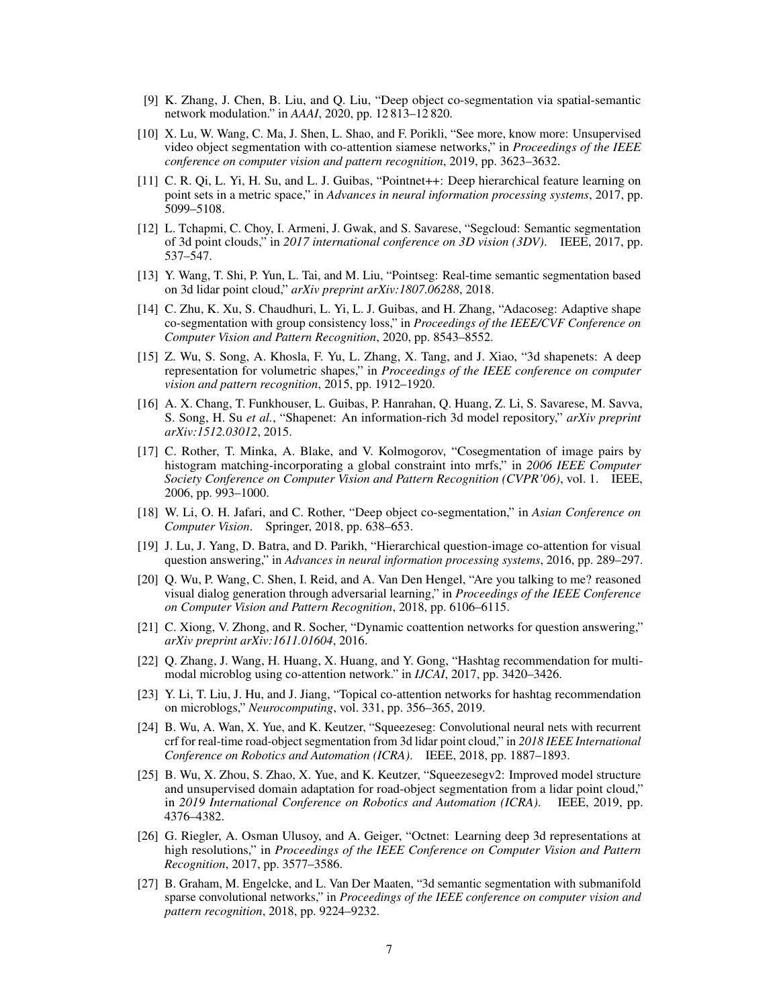- <span id="page-6-0"></span>[9] K. Zhang, J. Chen, B. Liu, and Q. Liu, "Deep object co-segmentation via spatial-semantic network modulation." in *AAAI*, 2020, pp. 12 813–12 820.
- <span id="page-6-1"></span>[10] X. Lu, W. Wang, C. Ma, J. Shen, L. Shao, and F. Porikli, "See more, know more: Unsupervised video object segmentation with co-attention siamese networks," in *Proceedings of the IEEE conference on computer vision and pattern recognition*, 2019, pp. 3623–3632.
- <span id="page-6-2"></span>[11] C. R. Qi, L. Yi, H. Su, and L. J. Guibas, "Pointnet++: Deep hierarchical feature learning on point sets in a metric space," in *Advances in neural information processing systems*, 2017, pp. 5099–5108.
- <span id="page-6-3"></span>[12] L. Tchapmi, C. Choy, I. Armeni, J. Gwak, and S. Savarese, "Segcloud: Semantic segmentation of 3d point clouds," in *2017 international conference on 3D vision (3DV)*. IEEE, 2017, pp. 537–547.
- <span id="page-6-4"></span>[13] Y. Wang, T. Shi, P. Yun, L. Tai, and M. Liu, "Pointseg: Real-time semantic segmentation based on 3d lidar point cloud," *arXiv preprint arXiv:1807.06288*, 2018.
- <span id="page-6-5"></span>[14] C. Zhu, K. Xu, S. Chaudhuri, L. Yi, L. J. Guibas, and H. Zhang, "Adacoseg: Adaptive shape co-segmentation with group consistency loss," in *Proceedings of the IEEE/CVF Conference on Computer Vision and Pattern Recognition*, 2020, pp. 8543–8552.
- <span id="page-6-6"></span>[15] Z. Wu, S. Song, A. Khosla, F. Yu, L. Zhang, X. Tang, and J. Xiao, "3d shapenets: A deep representation for volumetric shapes," in *Proceedings of the IEEE conference on computer vision and pattern recognition*, 2015, pp. 1912–1920.
- <span id="page-6-7"></span>[16] A. X. Chang, T. Funkhouser, L. Guibas, P. Hanrahan, Q. Huang, Z. Li, S. Savarese, M. Savva, S. Song, H. Su *et al.*, "Shapenet: An information-rich 3d model repository," *arXiv preprint arXiv:1512.03012*, 2015.
- <span id="page-6-8"></span>[17] C. Rother, T. Minka, A. Blake, and V. Kolmogorov, "Cosegmentation of image pairs by histogram matching-incorporating a global constraint into mrfs," in *2006 IEEE Computer Society Conference on Computer Vision and Pattern Recognition (CVPR'06)*, vol. 1. IEEE, 2006, pp. 993–1000.
- <span id="page-6-9"></span>[18] W. Li, O. H. Jafari, and C. Rother, "Deep object co-segmentation," in *Asian Conference on Computer Vision*. Springer, 2018, pp. 638–653.
- <span id="page-6-10"></span>[19] J. Lu, J. Yang, D. Batra, and D. Parikh, "Hierarchical question-image co-attention for visual question answering," in *Advances in neural information processing systems*, 2016, pp. 289–297.
- <span id="page-6-11"></span>[20] Q. Wu, P. Wang, C. Shen, I. Reid, and A. Van Den Hengel, "Are you talking to me? reasoned visual dialog generation through adversarial learning," in *Proceedings of the IEEE Conference on Computer Vision and Pattern Recognition*, 2018, pp. 6106–6115.
- <span id="page-6-12"></span>[21] C. Xiong, V. Zhong, and R. Socher, "Dynamic coattention networks for question answering," *arXiv preprint arXiv:1611.01604*, 2016.
- <span id="page-6-13"></span>[22] Q. Zhang, J. Wang, H. Huang, X. Huang, and Y. Gong, "Hashtag recommendation for multimodal microblog using co-attention network." in *IJCAI*, 2017, pp. 3420–3426.
- <span id="page-6-14"></span>[23] Y. Li, T. Liu, J. Hu, and J. Jiang, "Topical co-attention networks for hashtag recommendation on microblogs," *Neurocomputing*, vol. 331, pp. 356–365, 2019.
- <span id="page-6-15"></span>[24] B. Wu, A. Wan, X. Yue, and K. Keutzer, "Squeezeseg: Convolutional neural nets with recurrent crf for real-time road-object segmentation from 3d lidar point cloud," in *2018 IEEE International Conference on Robotics and Automation (ICRA)*. IEEE, 2018, pp. 1887–1893.
- <span id="page-6-16"></span>[25] B. Wu, X. Zhou, S. Zhao, X. Yue, and K. Keutzer, "Squeezesegv2: Improved model structure and unsupervised domain adaptation for road-object segmentation from a lidar point cloud," in *2019 International Conference on Robotics and Automation (ICRA)*. IEEE, 2019, pp. 4376–4382.
- <span id="page-6-17"></span>[26] G. Riegler, A. Osman Ulusoy, and A. Geiger, "Octnet: Learning deep 3d representations at high resolutions," in *Proceedings of the IEEE Conference on Computer Vision and Pattern Recognition*, 2017, pp. 3577–3586.
- <span id="page-6-18"></span>[27] B. Graham, M. Engelcke, and L. Van Der Maaten, "3d semantic segmentation with submanifold sparse convolutional networks," in *Proceedings of the IEEE conference on computer vision and pattern recognition*, 2018, pp. 9224–9232.